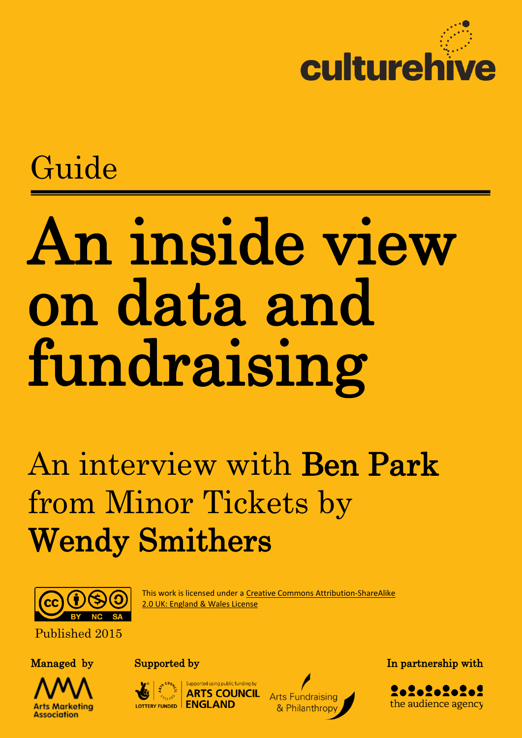

## Guide

# An inside view on data and fundraising

## An interview with Ben Park from Minor Tickets by Wendy Smithers



This work is licensed under a [Creative Commons Attribution-ShareAlike](http://creativecommons.org/licenses/by-sa/2.0/uk/deed.en_GB)  [2.0 UK: England & Wales License](http://creativecommons.org/licenses/by-sa/2.0/uk/deed.en_GB)

Published 2015





**ARTS COUI** LOTTERY FUNDED | ENGLAND



Managed by Supported by Supported by In partnership with

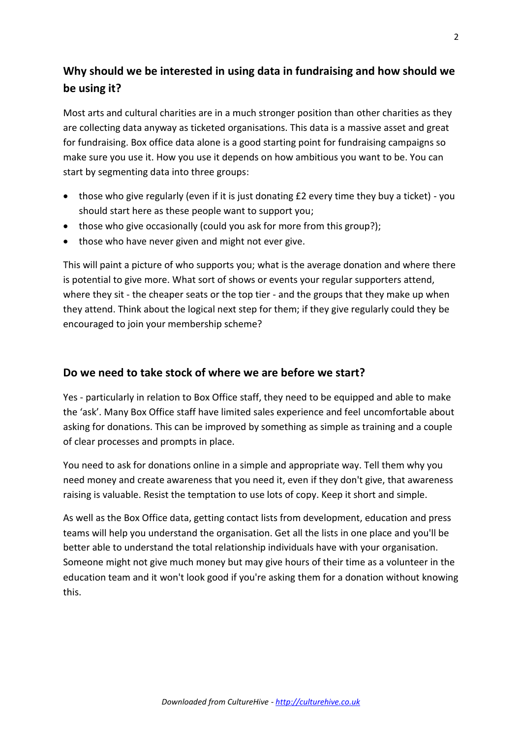### **Why should we be interested in using data in fundraising and how should we be using it?**

Most arts and cultural charities are in a much stronger position than other charities as they are collecting data anyway as ticketed organisations. This data is a massive asset and great for fundraising. Box office data alone is a good starting point for fundraising campaigns so make sure you use it. How you use it depends on how ambitious you want to be. You can start by segmenting data into three groups:

- those who give regularly (even if it is just donating £2 every time they buy a ticket) you should start here as these people want to support you;
- those who give occasionally (could you ask for more from this group?);
- those who have never given and might not ever give.

This will paint a picture of who supports you; what is the average donation and where there is potential to give more. What sort of shows or events your regular supporters attend, where they sit - the cheaper seats or the top tier - and the groups that they make up when they attend. Think about the logical next step for them; if they give regularly could they be encouraged to join your membership scheme?

#### **Do we need to take stock of where we are before we start?**

Yes - particularly in relation to Box Office staff, they need to be equipped and able to make the 'ask'. Many Box Office staff have limited sales experience and feel uncomfortable about asking for donations. This can be improved by something as simple as training and a couple of clear processes and prompts in place.

You need to ask for donations online in a simple and appropriate way. Tell them why you need money and create awareness that you need it, even if they don't give, that awareness raising is valuable. Resist the temptation to use lots of copy. Keep it short and simple.

As well as the Box Office data, getting contact lists from development, education and press teams will help you understand the organisation. Get all the lists in one place and you'll be better able to understand the total relationship individuals have with your organisation. Someone might not give much money but may give hours of their time as a volunteer in the education team and it won't look good if you're asking them for a donation without knowing this.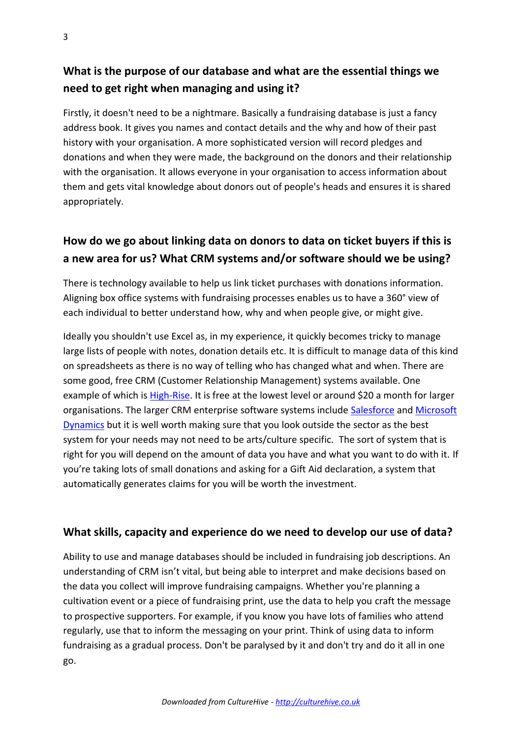#### **What is the purpose of our database and what are the essential things we need to get right when managing and using it?**

Firstly, it doesn't need to be a nightmare. Basically a fundraising database is just a fancy address book. It gives you names and contact details and the why and how of their past history with your organisation. A more sophisticated version will record pledges and donations and when they were made, the background on the donors and their relationship with the organisation. It allows everyone in your organisation to access information about them and gets vital knowledge about donors out of people's heads and ensures it is shared appropriately.

#### **How do we go about linking data on donors to data on ticket buyers if this is a new area for us? What CRM systems and/or software should we be using?**

There is technology available to help us link ticket purchases with donations information. Aligning box office systems with fundraising processes enables us to have a 360° view of each individual to better understand how, why and when people give, or might give.

Ideally you shouldn't use Excel as, in my experience, it quickly becomes tricky to manage large lists of people with notes, donation details etc. It is difficult to manage data of this kind on spreadsheets as there is no way of telling who has changed what and when. There are some good, free CRM (Customer Relationship Management) systems available. One example of which is [High-Rise.](https://highrisehq.com/) It is free at the lowest level or around \$20 a month for larger organisations. The larger CRM enterprise software systems include [Salesforce](http://www.salesforce.com/uk/) and [Microsoft](http://www.microsoft.com/en-gb/dynamics/default.aspx)  [Dynamics](http://www.microsoft.com/en-gb/dynamics/default.aspx) but it is well worth making sure that you look outside the sector as the best system for your needs may not need to be arts/culture specific. The sort of system that is right for you will depend on the amount of data you have and what you want to do with it. If you're taking lots of small donations and asking for a Gift Aid declaration, a system that automatically generates claims for you will be worth the investment.

#### **What skills, capacity and experience do we need to develop our use of data?**

Ability to use and manage databases should be included in fundraising job descriptions. An understanding of CRM isn't vital, but being able to interpret and make decisions based on the data you collect will improve fundraising campaigns. Whether you're planning a cultivation event or a piece of fundraising print, use the data to help you craft the message to prospective supporters. For example, if you know you have lots of families who attend regularly, use that to inform the messaging on your print. Think of using data to inform fundraising as a gradual process. Don't be paralysed by it and don't try and do it all in one go.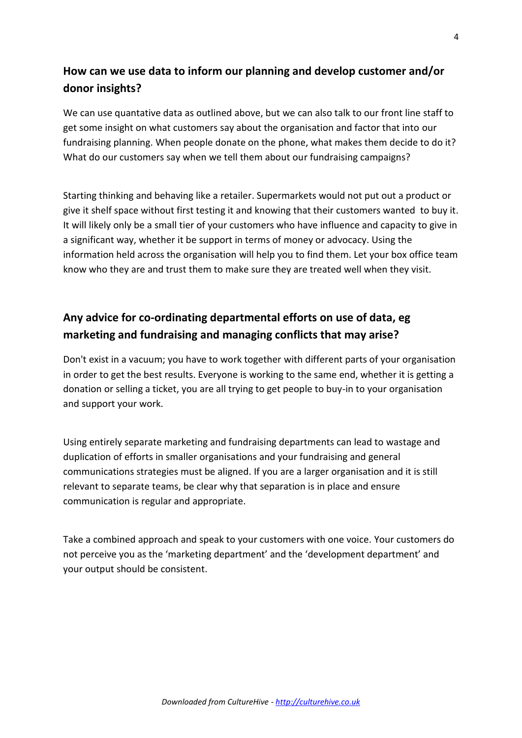#### **How can we use data to inform our planning and develop customer and/or donor insights?**

We can use quantative data as outlined above, but we can also talk to our front line staff to get some insight on what customers say about the organisation and factor that into our fundraising planning. When people donate on the phone, what makes them decide to do it? What do our customers say when we tell them about our fundraising campaigns?

Starting thinking and behaving like a retailer. Supermarkets would not put out a product or give it shelf space without first testing it and knowing that their customers wanted to buy it. It will likely only be a small tier of your customers who have influence and capacity to give in a significant way, whether it be support in terms of money or advocacy. Using the information held across the organisation will help you to find them. Let your box office team know who they are and trust them to make sure they are treated well when they visit.

### **Any advice for co-ordinating departmental efforts on use of data, eg marketing and fundraising and managing conflicts that may arise?**

Don't exist in a vacuum; you have to work together with different parts of your organisation in order to get the best results. Everyone is working to the same end, whether it is getting a donation or selling a ticket, you are all trying to get people to buy-in to your organisation and support your work.

Using entirely separate marketing and fundraising departments can lead to wastage and duplication of efforts in smaller organisations and your fundraising and general communications strategies must be aligned. If you are a larger organisation and it is still relevant to separate teams, be clear why that separation is in place and ensure communication is regular and appropriate.

Take a combined approach and speak to your customers with one voice. Your customers do not perceive you as the 'marketing department' and the 'development department' and your output should be consistent.